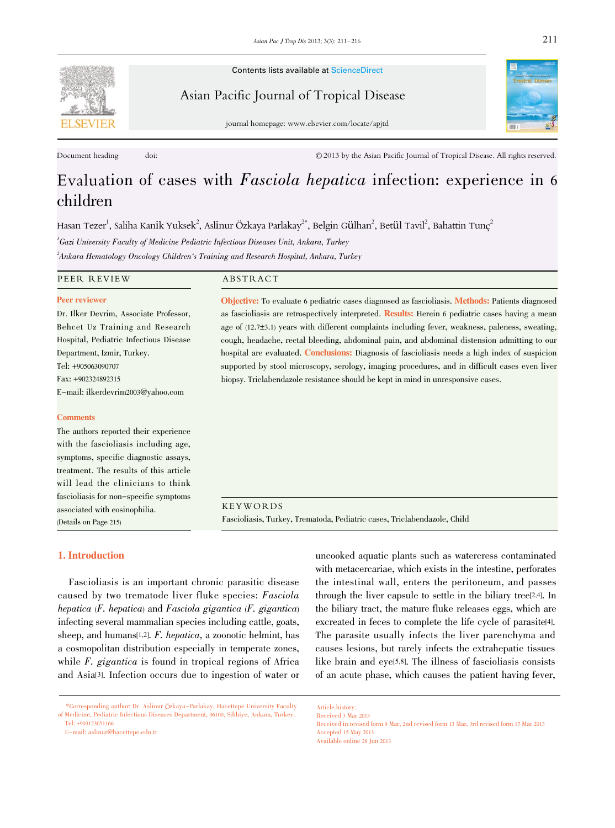

Contents lists available at ScienceDirect

Asian Pacific Journal of Tropical Disease



journal homepage: www.elsevier.com/locate/apjtd

Document heading doi: contract the Asian Pacific Journal of Tropical Disease. All rights reserved.

# Evaluation of cases with Fasciola hepatica infection: experience in <sup>6</sup> children

Hasan Tezer $^1$ , Saliha Kanik Yuksek $^2$ , Aslinur Özkaya Parlakay $^{2*}$ , Belgin Gülhan $^2$ , Betül Tavil $^2$ , Bahattin Tun $\varsigma^2$  $^l$ Gazi University Faculty of Medicine Pediatric Infectious Diseases Unit, Ankara, Turkey  $^2$ Ankara Hematology Oncology Children´s Training and Research Hospital, Ankara, Turkey

# PEER REVIEW ABSTRACT

#### Peer reviewer

Dr. Ilker Devrim, Associate Professor, Behcet Uz Training and Research Hospital, Pediatric Infectious Disease Department, Izmir, Turkey. Tel: +905063090707 Fax: +902324892315 E-mail: ilkerdevrim2003@yahoo.com

#### **Comments**

The authors reported their experience with the fascioliasis including age, symptoms, specific diagnostic assays, treatment. The results of this article will lead the clinicians to think fascioliasis for non-specific symptoms associated with eosinophilia. (Details on Page 215)

Objective: To evaluate <sup>6</sup> pediatric cases diagnosed as fascioliasis. Methods: Patients diagnosed as fascioliasis are retrospectively interpreted. Results: Herein 6 pediatric cases having a mean age of (12.7±3.1) years with different complaints including fever, weakness, paleness, sweating, cough, headache, rectal bleeding, abdominal pain, and abdominal distension admitting to our hospital are evaluated. Conclusions: Diagnosis of fascioliasis needs a high index of suspicion supported by stool microscopy, serology, imaging procedures, and in difficult cases even liver biopsy. Triclabendazole resistance should be kept in mind in unresponsive cases.

KEYWORDS Fascioliasis, Turkey, Trematoda, Pediatric cases, Triclabendazole, Child

# 1. Introduction

Fascioliasis is an important chronic parasitic disease caused by two trematode liver fluke species: Fasciola hepatica (F. hepatica) and Fasciola gigantica (F. gigantica) infecting several mammalian species including cattle, goats, sheep, and humans[1,2]. F. hepatica, a zoonotic helmint, has a cosmopolitan distribution especially in temperate zones, while F. gigantica is found in tropical regions of Africa and Asia[3]. Infection occurs due to ingestion of water or

\*Corresponding author: Dr. Aslinur Özkaya-Parlakay, Hacettepe University Faculty of Medicine, Pediatric Infectious Diseases Department, 06100, Sihhiye, Ankara, Turkey. Tel: +903123051166

E-mail: aslinur@hacettepe.edu.tr

uncooked aquatic plants such as watercress contaminated with metacercariae, which exists in the intestine, perforates the intestinal wall, enters the peritoneum, and passes through the liver capsule to settle in the biliary tree[2,4]. In the biliary tract, the mature fluke releases eggs, which are excreated in feces to complete the life cycle of parasite<sup>[4]</sup>. The parasite usually infects the liver parenchyma and causes lesions, but rarely infects the extrahepatic tissues like brain and eye[5,8]. The illness of fascioliasis consists of an acute phase, which causes the patient having fever,

Article history:

Received 3 Mar 2013

Received in revised form 9 Mar, 2nd revised form 13 Mar, 3rd revised form 17 Mar 2013 Accepted 15 May 2013 Available online 28 Jun 2013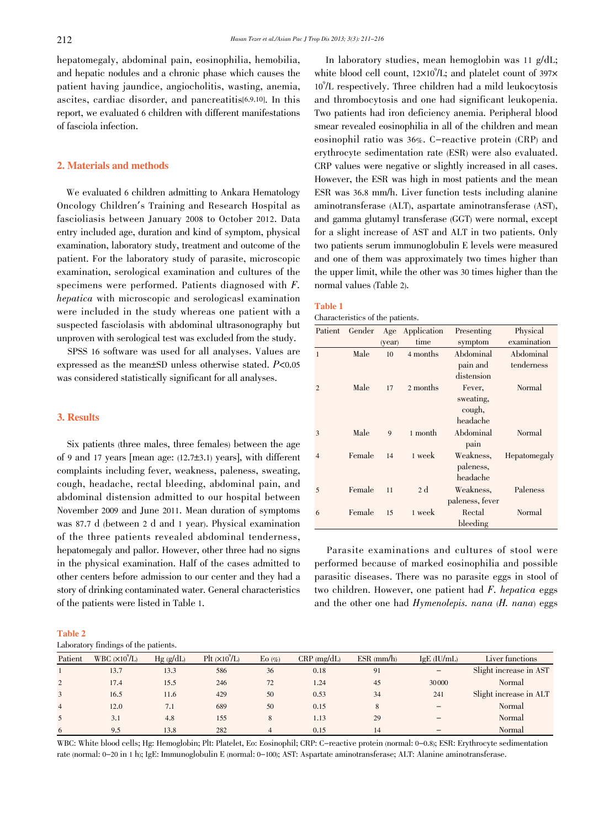hepatomegaly, abdominal pain, eosinophilia, hemobilia, and hepatic nodules and a chronic phase which causes the patient having jaundice, angiocholitis, wasting, anemia, ascites, cardiac disorder, and pancreatitis[6,9,10]. In this report, we evaluated 6 children with different manifestations of fasciola infection.

# 2. Materials and methods

We evaluated 6 children admitting to Ankara Hematology Oncology Children's Training and Research Hospital as fascioliasis between January 2008 to October 2012. Data entry included age, duration and kind of symptom, physical examination, laboratory study, treatment and outcome of the patient. For the laboratory study of parasite, microscopic examination, serological examination and cultures of the specimens were performed. Patients diagnosed with F. hepatica with microscopic and serologicasl examination were included in the study whereas one patient with a suspected fasciolasis with abdominal ultrasonography but unproven with serological test was excluded from the study.

SPSS 16 software was used for all analyses. Values are expressed as the mean±SD unless otherwise stated. P<0.05 was considered statistically significant for all analyses.

# 3. Results

Six patients (three males, three females) between the age of <sup>9</sup> and <sup>17</sup> years [mean age: (12.7±3.1) years], with different complaints including fever, weakness, paleness, sweating, cough, headache, rectal bleeding, abdominal pain, and abdominal distension admitted to our hospital between November 2009 and June 2011. Mean duration of symptoms was 87.7 d (between 2 d and 1 year). Physical examination of the three patients revealed abdominal tenderness, hepatomegaly and pallor. However, other three had no signs in the physical examination. Half of the cases admitted to other centers before admission to our center and they had a story of drinking contaminated water. General characteristics of the patients were listed in Table 1.

In laboratory studies, mean hemoglobin was 11 g/dL; white blood cell count,  $12 \times 10^{7}/L$ ; and platelet count of 397 $\times$ 10 9 /L respectively. Three children had a mild leukocytosis and thrombocytosis and one had significant leukopenia. Two patients had iron deficiency anemia. Peripheral blood smear revealed eosinophilia in all of the children and mean eosinophil ratio was 36%. C-reactive protein (CRP) and erythrocyte sedimentation rate (ESR) were also evaluated. CRP values were negative or slightly increased in all cases. However, the ESR was high in most patients and the mean ESR was 36.8 mm/h. Liver function tests including alanine aminotransferase (ALT), aspartate aminotransferase (AST), and gamma glutamyl transferase (GGT) were normal, except for a slight increase of AST and ALT in two patients. Only two patients serum immunoglobulin E levels were measured and one of them was approximately two times higher than the upper limit, while the other was 30 times higher than the normal values (Table 2).

| <b>Table 1</b>                   |  |
|----------------------------------|--|
| Characteristics of the patients. |  |

| Patient        | Gender | Age    | Application | Presenting      | Physical     |
|----------------|--------|--------|-------------|-----------------|--------------|
|                |        | (year) | time        | symptom         | examination  |
| $\mathbf{1}$   | Male   | 10     | 4 months    | Abdominal       | Abdominal    |
|                |        |        |             | pain and        | tenderness   |
|                |        |        |             | distension      |              |
| $\overline{c}$ | Male   | 17     | 2 months    | Fever.          | Normal       |
|                |        |        |             | sweating,       |              |
|                |        |        |             | cough,          |              |
|                |        |        |             | headache        |              |
| 3              | Male   | 9      | 1 month     | Abdominal       | Normal       |
|                |        |        |             | pain            |              |
| $\overline{4}$ | Female | 14     | 1 week      | Weakness.       | Hepatomegaly |
|                |        |        |             | paleness,       |              |
|                |        |        |             | headache        |              |
| 5              | Female | 11     | 2d          | Weakness.       | Paleness     |
|                |        |        |             | paleness, fever |              |
| 6              | Female | 15     | 1 week      | Rectal          | Normal       |
|                |        |        |             | bleeding        |              |
|                |        |        |             |                 |              |

Parasite examinations and cultures of stool were performed because of marked eosinophilia and possible parasitic diseases. There was no parasite eggs in stool of two children. However, one patient had F. hepatica eggs and the other one had Hymenolepis. nana (H. nana) eggs

| <b>Table 2</b>                       |  |
|--------------------------------------|--|
| Laboratory findings of the patients. |  |

| Patient        | WBC $(\times 10^9/L)$ | Hg(g/dL) | $P$ lt ( $\times 10^9$ /L) | $E_0$ (%) | $CRP$ (mg/dL) | $ESR$ (mm/h) | $IgE$ (IU/mL) | Liver functions        |
|----------------|-----------------------|----------|----------------------------|-----------|---------------|--------------|---------------|------------------------|
|                | 13.7                  | 13.3     | 586                        | 36        | 0.18          | 91           | —             | Slight increase in AST |
| 2              | 17.4                  | 15.5     | 246                        | 72        | 1.24          | 45           | 30000         | Normal                 |
| 3              | 16.5                  | 11.6     | 429                        | 50        | 0.53          | 34           | 241           | Slight increase in ALT |
| $\overline{4}$ | 12.0                  | 7.1      | 689                        | 50        | 0.15          | 8            |               | Normal                 |
| 5              | 3.1                   | 4.8      | 155                        | 8         | 1.13          | 29           |               | Normal                 |
| 6              | 9.5                   | 13.8     | 282                        | 4         | 0.15          | 14           | -             | Normal                 |

WBC: White blood cells; Hg: Hemoglobin; Plt: Platelet, Eo: Eosinophil; CRP: C-reactive protein (normal: 0-0.8); ESR: Erythrocyte sedimentation rate (normal: 0-20 in 1 h); IgE: Immunoglobulin E (normal: 0-100); AST: Aspartate aminotransferase; ALT: Alanine aminotransferase.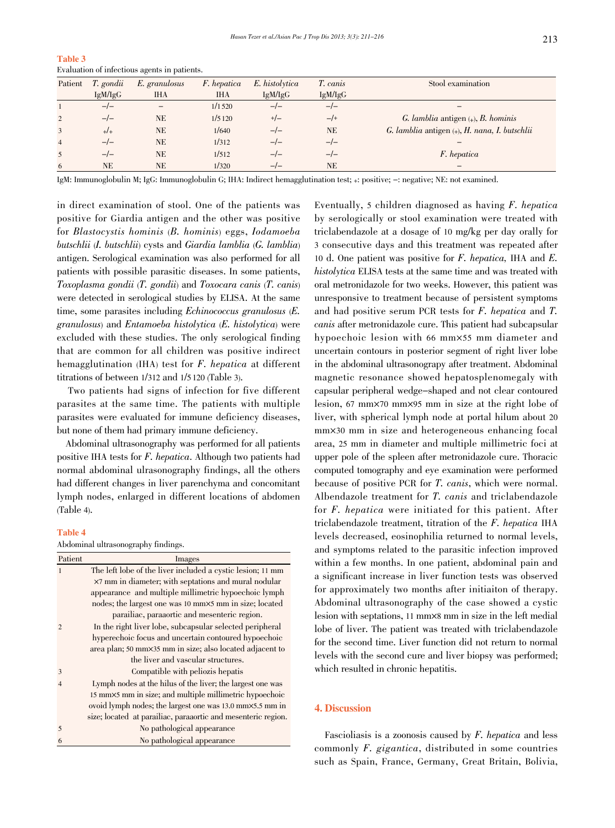| Patient        | T. gondii | E. granulosus | <i>F.</i> hepatica | E. histolytica | T. canis  | Stool examination                                |
|----------------|-----------|---------------|--------------------|----------------|-----------|--------------------------------------------------|
|                | IgM/IgG   | <b>IHA</b>    | <b>IHA</b>         | IgM/IgG        | IgM/IgG   |                                                  |
|                | $-/-$     |               | 1/1520             | $-/-$          | $-/-$     |                                                  |
| $\overline{2}$ | $-/-$     | NE.           | 1/5120             | $+/-$          | $-$ /+    | $G.$ lamblia antigen $(+)$ , $B.$ hominis        |
|                | $+1$      | <b>NE</b>     | 1/640              | $-/-$          | <b>NE</b> | G. lamblia antigen $(+)$ , H. nana, I. butschlii |
| $\overline{4}$ | $-/-$     | NE.           | 1/312              | —/—            | $-/-$     |                                                  |
|                | $-/-$     | <b>NE</b>     | 1/512              | —/—            | $-/-$     | <i>F.</i> hepatica                               |
| 6              | <b>NE</b> | <b>NE</b>     | 1/320              | $-/-$          | <b>NE</b> |                                                  |

Table 3 Evaluation of infectious agents in patients.

IgM: Immunoglobulin M; IgG: Immunoglobulin G; IHA: Indirect hemagglutination test; +: positive; -: negative; NE: not examined.

in direct examination of stool. One of the patients was positive for Giardia antigen and the other was positive for Blastocystis hominis (B. hominis) eggs, Iodamoeba butschlii (I. butschlii) cysts and Giardia lamblia (G. lamblia) antigen. Serological examination was also performed for all patients with possible parasitic diseases. In some patients, Toxoplasma gondii (T. gondii) and Toxocara canis (T. canis) were detected in serological studies by ELISA. At the same time, some parasites including Echinococcus granulosus (E. granulosus) and Entamoeba histolytica (E. histolytica) were excluded with these studies. The only serological finding that are common for all children was positive indirect hemagglutination (IHA) test for F. hepatica at different titrations of between 1/312 and 1/5 120 (Table 3).

Two patients had signs of infection for five different parasites at the same time. The patients with multiple parasites were evaluated for immune deficiency diseases, but none of them had primary immune deficiency.

Abdominal ultrasonography was performed for all patients positive IHA tests for F. hepatica. Although two patients had normal abdominal ulrasonography findings, all the others had different changes in liver parenchyma and concomitant lymph nodes, enlarged in different locations of abdomen (Table 4).

### Table 4

Abdominal ultrasonography findings.

| Patient        | Images                                                        |
|----------------|---------------------------------------------------------------|
| $\mathbf{1}$   | The left lobe of the liver included a cystic lesion; 11 mm    |
|                | ×7 mm in diameter; with septations and mural nodular          |
|                | appearance and multiple millimetric hypoechoic lymph          |
|                | nodes; the largest one was 10 mm×5 mm in size; located        |
|                | parailiac, paraaortic and mesenteric region.                  |
| $\mathcal{D}$  | In the right liver lobe, subcapsular selected peripheral      |
|                | hyperechoic focus and uncertain contoured hypoechoic          |
|                | area plan; 50 mm×35 mm in size; also located adjacent to      |
|                | the liver and vascular structures.                            |
| 3              | Compatible with peliozis hepatis                              |
| $\overline{4}$ | Lymph nodes at the hilus of the liver; the largest one was    |
|                | 15 mm×5 mm in size; and multiple millimetric hypoechoic       |
|                | ovoid lymph nodes; the largest one was 13.0 mm×5.5 mm in      |
|                | size; located at parailiac, paraaortic and mesenteric region. |
| 5              | No pathological appearance                                    |
| 6              | No pathological appearance                                    |

Eventually, <sup>5</sup> children diagnosed as having F. hepatica by serologically or stool examination were treated with triclabendazole at a dosage of 10 mg/kg per day orally for 3 consecutive days and this treatment was repeated after <sup>10</sup> d. One patient was positive for F. hepatica, IHA and E. histolytica ELISA tests at the same time and was treated with oral metronidazole for two weeks. However, this patient was unresponsive to treatment because of persistent symptoms and had positive serum PCR tests for F. hepatica and T. canis after metronidazole cure. This patient had subcapsular hypoechoic lesion with 66 mm×55 mm diameter and uncertain contours in posterior segment of right liver lobe in the abdominal ultrasonograpy after treatment. Abdominal magnetic resonance showed hepatosplenomegaly with capsular peripheral wedge-shaped and not clear contoured lesion, 67 mm×70 mm×95 mm in size at the right lobe of liver, with spherical lymph node at portal hilum about 20 mm×30 mm in size and heterogeneous enhancing focal area, 25 mm in diameter and multiple millimetric foci at upper pole of the spleen after metronidazole cure. Thoracic computed tomography and eye examination were performed because of positive PCR for T. canis, which were normal. Albendazole treatment for T. canis and triclabendazole for F. hepatica were initiated for this patient. After triclabendazole treatment, titration of the F. hepatica IHA levels decreased, eosinophilia returned to normal levels, and symptoms related to the parasitic infection improved within a few months. In one patient, abdominal pain and a significant increase in liver function tests was observed for approximately two months after initiaiton of therapy. Abdominal ultrasonography of the case showed a cystic lesion with septations, 11 mm $\times$ 8 mm in size in the left medial lobe of liver. The patient was treated with triclabendazole for the second time. Liver function did not return to normal levels with the second cure and liver biopsy was performed; which resulted in chronic hepatitis.

# 4. Discussion

Fascioliasis is a zoonosis caused by F. hepatica and less commonly F. gigantica, distributed in some countries such as Spain, France, Germany, Great Britain, Bolivia,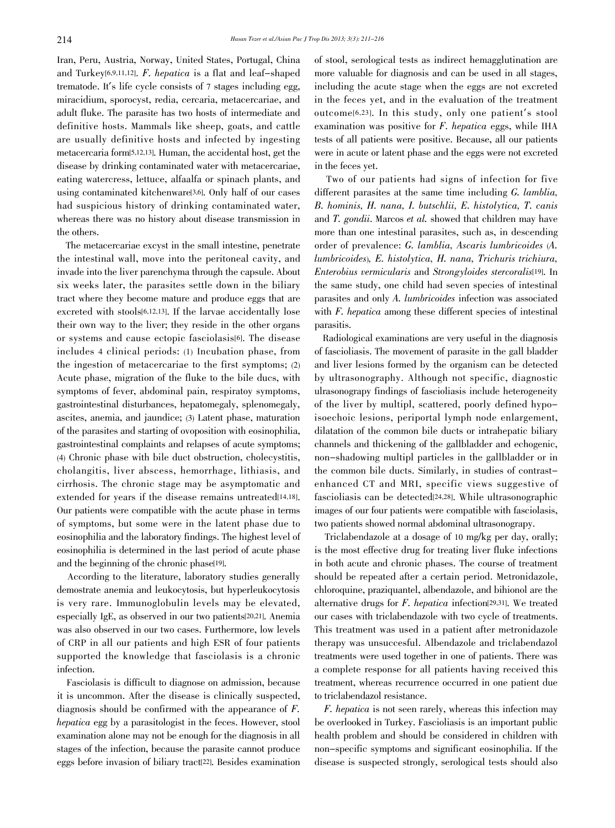Iran, Peru, Austria, Norway, United States, Portugal, China and Turkey[6,9,11,12]. F. hepatica is a flat and leaf-shaped trematode. It's life cycle consists of <sup>7</sup> stages including egg, miracidium, sporocyst, redia, cercaria, metacercariae, and adult fluke. The parasite has two hosts of intermediate and definitive hosts. Mammals like sheep, goats, and cattle are usually definitive hosts and infected by ingesting metacercaria form[5,12,13]. Human, the accidental host, get the disease by drinking contaminated water with metacercariae, eating watercress, lettuce, alfaalfa or spinach plants, and using contaminated kitchenware[3,6]. Only half of our cases had suspicious history of drinking contaminated water, whereas there was no history about disease transmission in the others.

The metacercariae excyst in the small intestine, penetrate the intestinal wall, move into the peritoneal cavity, and invade into the liver parenchyma through the capsule. About six weeks later, the parasites settle down in the biliary tract where they become mature and produce eggs that are excreted with stools[6,12,13]. If the larvae accidentally lose their own way to the liver; they reside in the other organs or systems and cause ectopic fasciolasis[6]. The disease includes 4 clinical periods: (1) Incubation phase, from the ingestion of metacercariae to the first symptoms; (2) Acute phase, migration of the fluke to the bile ducs, with symptoms of fever, abdominal pain, respiratoy symptoms, gastrointestinal disturbances, hepatomegaly, splenomegaly, ascites, anemia, and jaundice; (3) Latent phase, maturation of the parasites and starting of ovoposition with eosinophilia, gastrointestinal complaints and relapses of acute symptoms; (4) Chronic phase with bile duct obstruction, cholecystitis, cholangitis, liver abscess, hemorrhage, lithiasis, and cirrhosis. The chronic stage may be asymptomatic and extended for years if the disease remains untreated<sup>[14,18]</sup>. Our patients were compatible with the acute phase in terms of symptoms, but some were in the latent phase due to eosinophilia and the laboratory findings. The highest level of eosinophilia is determined in the last period of acute phase and the beginning of the chronic phase[19].

According to the literature, laboratory studies generally demostrate anemia and leukocytosis, but hyperleukocytosis is very rare. Immunoglobulin levels may be elevated, especially IgE, as observed in our two patients[20,21]. Anemia was also observed in our two cases. Furthermore, low levels of CRP in all our patients and high ESR of four patients supported the knowledge that fasciolasis is a chronic infection.

Fasciolasis is difficult to diagnose on admission, because it is uncommon. After the disease is clinically suspected, diagnosis should be confirmed with the appearance of F. hepatica egg by a parasitologist in the feces. However, stool examination alone may not be enough for the diagnosis in all stages of the infection, because the parasite cannot produce eggs before invasion of biliary tract[22]. Besides examination of stool, serological tests as indirect hemagglutination are more valuable for diagnosis and can be used in all stages, including the acute stage when the eggs are not excreted in the feces yet, and in the evaluation of the treatment outcome[6,23]. In this study, only one patient's stool examination was positive for F. hepatica eggs, while IHA tests of all patients were positive. Because, all our patients were in acute or latent phase and the eggs were not excreted in the feces yet.

Two of our patients had signs of infection for five different parasites at the same time including G. *lamblia*, B. hominis, H. nana, I. butschlii, E. histolytica, T. canis and T. gondii. Marcos et al. showed that children may have more than one intestinal parasites, such as, in descending order of prevalence: G. lamblia, Ascaris lumbricoides (A. lumbricoides), E. histolytica, H. nana, Trichuris trichiura, Enterobius vermicularis and Strongyloides stercoralis[19]. In the same study, one child had seven species of intestinal parasites and only A. lumbricoides infection was associated with F. hepatica among these different species of intestinal parasitis.

Radiological examinations are very useful in the diagnosis of fascioliasis. The movement of parasite in the gall bladder and liver lesions formed by the organism can be detected by ultrasonography. Although not specific, diagnostic ulrasonograpy findings of fascioliasis include heterogeneity of the liver by multipl, scattered, poorly defined hypoisoechoic lesions, periportal lymph node enlargement, dilatation of the common bile ducts or intrahepatic biliary channels and thickening of the gallbladder and echogenic, non-shadowing multipl particles in the gallbladder or in the common bile ducts. Similarly, in studies of contrastenhanced CT and MRI, specific views suggestive of fascioliasis can be detected[24,28]. While ultrasonographic images of our four patients were compatible with fasciolasis, two patients showed normal abdominal ultrasonograpy.

Triclabendazole at a dosage of 10 mg/kg per day, orally; is the most effective drug for treating liver fluke infections in both acute and chronic phases. The course of treatment should be repeated after a certain period. Metronidazole, chloroquine, praziquantel, albendazole, and bihionol are the alternative drugs for  $F$ . *hepatica* infection<sup>[29,31]</sup>. We treated our cases with triclabendazole with two cycle of treatments. This treatment was used in a patient after metronidazole therapy was unsuccesful. Albendazole and triclabendazol treatments were used together in one of patients. There was a complete response for all patients having received this treatment, whereas recurrence occurred in one patient due to triclabendazol resistance.

F. hepatica is not seen rarely, whereas this infection may be overlooked in Turkey. Fascioliasis is an important public health problem and should be considered in children with non-specific symptoms and significant eosinophilia. If the disease is suspected strongly, serological tests should also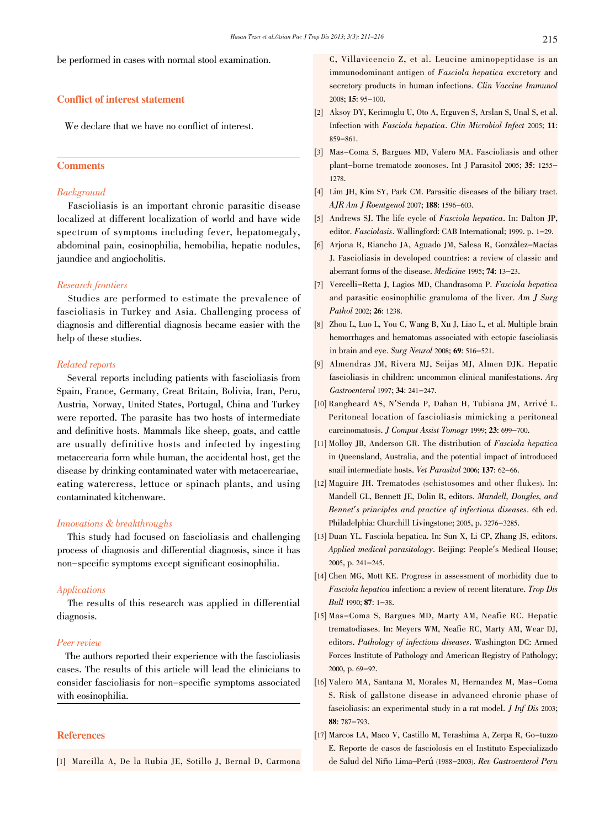be performed in cases with normal stool examination.

# Conflict of interest statement

We declare that we have no conflict of interest.

# **Comments**

# Background

Fascioliasis is an important chronic parasitic disease localized at different localization of world and have wide spectrum of symptoms including fever, hepatomegaly, abdominal pain, eosinophilia, hemobilia, hepatic nodules, jaundice and angiocholitis.

# Research frontiers

Studies are performed to estimate the prevalence of fascioliasis in Turkey and Asia. Challenging process of diagnosis and differential diagnosis became easier with the help of these studies.

# Related reports

Several reports including patients with fascioliasis from Spain, France, Germany, Great Britain, Bolivia, Iran, Peru, Austria, Norway, United States, Portugal, China and Turkey were reported. The parasite has two hosts of intermediate and definitive hosts. Mammals like sheep, goats, and cattle are usually definitive hosts and infected by ingesting metacercaria form while human, the accidental host, get the disease by drinking contaminated water with metacercariae, eating watercress, lettuce or spinach plants, and using contaminated kitchenware.

# Innovations & breakthroughs

This study had focused on fascioliasis and challenging process of diagnosis and differential diagnosis, since it has non-specific symptoms except significant eosinophilia.

# Applications

The results of this research was applied in differential diagnosis.

# Peer review

The authors reported their experience with the fascioliasis cases. The results of this article will lead the clinicians to consider fascioliasis for non-specific symptoms associated with eosinophilia.

# **References**

[1] Marcilla A, De la Rubia JE, Sotillo J, Bernal D, Carmona

C, Villavicencio Z, et al. Leucine aminopeptidase is an immunodominant antigen of Fasciola hepatica excretory and secretory products in human infections. Clin Vaccine Immunol 2008; 15: 95-100.

- [2] Aksoy DY, Kerimoglu U, Oto A, Erguven S, Arslan S, Unal S, et al. Infection with Fasciola hepatica. Clin Microbiol Infect 2005; 11: 859-861.
- [3] Mas-Coma S, Bargues MD, Valero MA. Fascioliasis and other plant-borne trematode zoonoses. Int J Parasitol 2005; 35: 1255- 1278.
- [4] Lim JH, Kim SY, Park CM. Parasitic diseases of the biliary tract. AJR Am J Roentgenol 2007; 188: 1596-603.
- [5] Andrews SJ. The life cycle of Fasciola hepatica. In: Dalton JP, editor. Fasciolasis. Wallingford: CAB International; 1999. p. 1-29.
- [6] Arjona R, Riancho JA, Aguado JM, Salesa R, González-Macías J. Fascioliasis in developed countries: a review of classic and aberrant forms of the disease. Medicine 1995; 74: 13-23.
- [7] Vercelli-Retta J, Lagios MD, Chandrasoma P. Fasciola hepatica and parasitic eosinophilic granuloma of the liver. Am J Surg Pathol 2002; 26: 1238.
- [8] Zhou L, Luo L, You C, Wang B, Xu J, Liao L, et al. Multiple brain hemorrhages and hematomas associated with ectopic fascioliasis in brain and eye. Surg Neurol 2008; 69: 516-521.
- [9] Almendras JM, Rivera MJ, Seijas MJ, Almen DJK. Hepatic fascioliasis in children: uncommon clinical manifestations. Arq Gastroenterol 1997; 34: 241-247.
- [10] Rangheard AS, N'Senda P, Dahan H, Tubiana JM, Arrivé L. Peritoneal location of fascioliasis mimicking a peritoneal carcinomatosis. J Comput Assist Tomogr 1999; 23: 699-700.
- [11] Molloy JB, Anderson GR. The distribution of Fasciola hepatica in Queensland, Australia, and the potential impact of introduced snail intermediate hosts. Vet Parasitol 2006; 137: 62-66.
- [12] Maguire JH. Trematodes (schistosomes and other flukes). In: Mandell GL, Bennett JE, Dolin R, editors. Mandell, Dougles, and Bennet's principles and practice of infectious diseases. 6th ed. Philadelphia: Churchill Livingstone; 2005, p. 3276-3285.
- [13] Duan YL. Fasciola hepatica. In: Sun X, Li CP, Zhang JS, editors. Applied medical parasitology. Beijing: People's Medical House; 2005, p. 241-245.
- [14] Chen MG, Mott KE. Progress in assessment of morbidity due to Fasciola hepatica infection: a review of recent literature. Trop Dis Bull 1990; 87: 1-38.
- [15] Mas-Coma S, Bargues MD, Marty AM, Neafie RC. Hepatic trematodiases. In: Meyers WM, Neafie RC, Marty AM, Wear DJ, editors. Pathology of infectious diseases. Washington DC: Armed Forces Institute of Pathology and American Registry of Pathology; 2000, p. 69-92.
- [16] Valero MA, Santana M, Morales M, Hernandez M, Mas-Coma S. Risk of gallstone disease in advanced chronic phase of fascioliasis: an experimental study in a rat model. J Inf Dis 2003; 88: 787-793.
- [17] Marcos LA, Maco V, Castillo M, Terashima A, Zerpa R, Go-tuzzo E. Reporte de casos de fasciolosis en el Instituto Especializado de Salud del Niño Lima–Perú (1988-2003). Rev Gastroenterol Peru